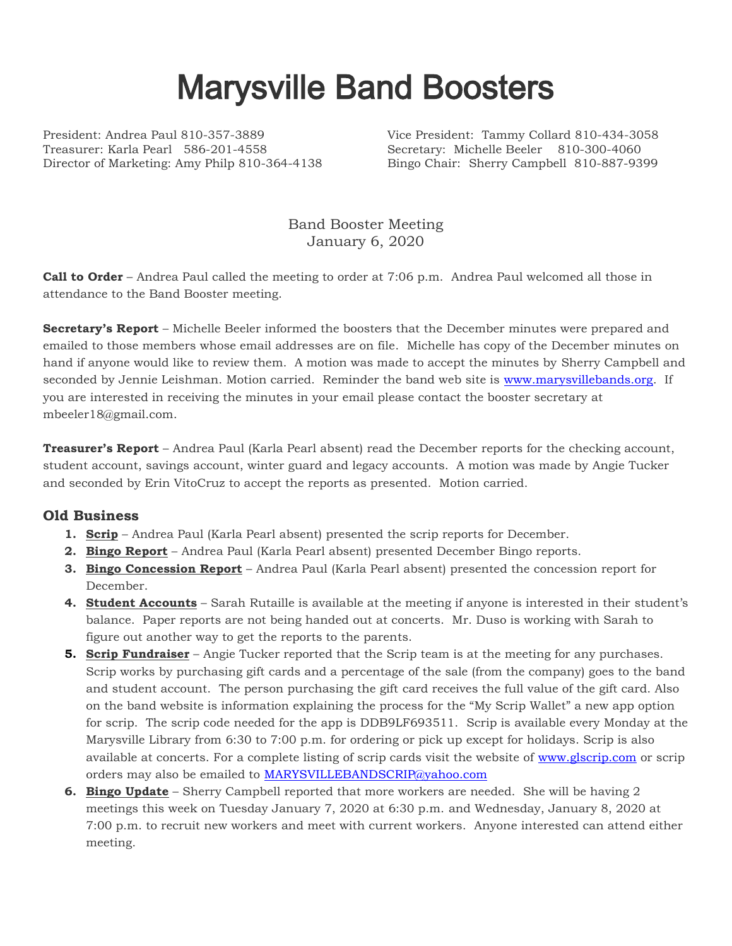## Marysville Band Boosters

President: Andrea Paul 810-357-3889 Vice President: Tammy Collard 810-434-3058 Treasurer: Karla Pearl 586-201-4558 Secretary: Michelle Beeler 810-300-4060 Director of Marketing: Amy Philp 810-364-4138 Bingo Chair: Sherry Campbell 810-887-9399

Band Booster Meeting January 6, 2020

**Call to Order** – Andrea Paul called the meeting to order at 7:06 p.m. Andrea Paul welcomed all those in attendance to the Band Booster meeting.

**Secretary's Report** – Michelle Beeler informed the boosters that the December minutes were prepared and emailed to those members whose email addresses are on file. Michelle has copy of the December minutes on hand if anyone would like to review them. A motion was made to accept the minutes by Sherry Campbell and seconded by Jennie Leishman. Motion carried. Reminder the band web site is [www.marysvillebands.org.](http://www.marysvillebands.org/) If you are interested in receiving the minutes in your email please contact the booster secretary at mbeeler18@gmail.com.

**Treasurer's Report** – Andrea Paul (Karla Pearl absent) read the December reports for the checking account, student account, savings account, winter guard and legacy accounts. A motion was made by Angie Tucker and seconded by Erin VitoCruz to accept the reports as presented. Motion carried.

## **Old Business**

- **1. Scrip** Andrea Paul (Karla Pearl absent) presented the scrip reports for December.
- **2. Bingo Report** Andrea Paul (Karla Pearl absent) presented December Bingo reports.
- **3. Bingo Concession Report** Andrea Paul (Karla Pearl absent) presented the concession report for December.
- **4. Student Accounts** Sarah Rutaille is available at the meeting if anyone is interested in their student's balance. Paper reports are not being handed out at concerts. Mr. Duso is working with Sarah to figure out another way to get the reports to the parents.
- **5. Scrip Fundraiser** Angie Tucker reported that the Scrip team is at the meeting for any purchases. Scrip works by purchasing gift cards and a percentage of the sale (from the company) goes to the band and student account. The person purchasing the gift card receives the full value of the gift card. Also on the band website is information explaining the process for the "My Scrip Wallet" a new app option for scrip. The scrip code needed for the app is DDB9LF693511. Scrip is available every Monday at the Marysville Library from 6:30 to 7:00 p.m. for ordering or pick up except for holidays. Scrip is also available at concerts. For a complete listing of scrip cards visit the website of [www.glscrip.com](http://www.glscrip.com/) or scrip orders may also be emailed to [MARYSVILLEBANDSCRIP@yahoo.com](mailto:MARYSVILLEBANDSCRIP@yahoo.com)
- **6. Bingo Update** Sherry Campbell reported that more workers are needed. She will be having 2 meetings this week on Tuesday January 7, 2020 at 6:30 p.m. and Wednesday, January 8, 2020 at 7:00 p.m. to recruit new workers and meet with current workers. Anyone interested can attend either meeting.